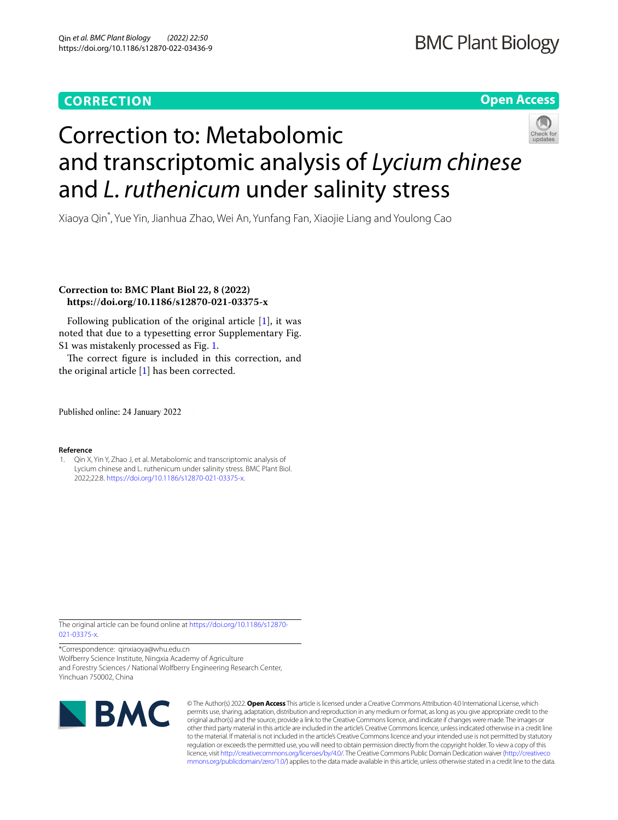## **CORRECTION**

### **Open Access**



# Correction to: Metabolomic and transcriptomic analysis of *Lycium chinese* and *L. ruthenicum* under salinity stress

Xiaoya Qin\* , Yue Yin, Jianhua Zhao, Wei An, Yunfang Fan, Xiaojie Liang and Youlong Cao

### **Correction to: BMC Plant Biol 22, 8 (2022) https://doi.org/10.1186/s12870-021-03375-x**

Following publication of the original article [\[1](#page-0-0)], it was noted that due to a typesetting err[or](#page-1-0) Supplementary Fig. S1 was mistakenly processed as Fig. 1.

Th[e](#page-0-0) correct figure is included in this correction, and the original article  $[1]$  has been corrected.

Published online: 24 January 2022

#### **Reference**

<span id="page-0-0"></span>1. Qin X, Yin Y, Zhao J, et al. Metabolomic and transcriptomic analysis of Lycium ch[inese and L. ruthenicum under salinity stress.](https://doi.org/10.1186/s12870-021-03375-x) BMC Plant Biol. 2022;22:8. https://doi.org/10.1186/s12870-021-03375-x.

The original article can be found online at [https://doi.org/10.1186/s12870-](https://doi.org/10.1186/s12870-021-03375-x) [021-03375-x.](https://doi.org/10.1186/s12870-021-03375-x)

\*Correspondence: qinxiaoya@whu.edu.cn Wolfberry Science Institute, Ningxia Academy of Agriculture and Forestry Sciences / National Wolfberry Engineering Research Center, Yinchuan 750002, China



© The Author(s) 2022. **Open Access** This article is licensed under a Creative Commons Attribution 4.0 International License, which permits use, sharing, adaptation, distribution and reproduction in any medium or format, as long as you give appropriate credit to the original author(s) and the source, provide a link to the Creative Commons licence, and indicate if changes were made. The images or other third party material in this article are included in the article's Creative Commons licence, unless indicated otherwise in a credit line to the material. If material is not included in the article's Creative Commons licence and your intended use is not permitted by statutory regulation or exceeds the permitted use, you will need to obtain permission directly from the copyright holder. To view a copy of this licence, visit [http://creativecommons.org/licenses/by/4.0/.](http://creativecommons.org/licenses/by/4.0/) The Creative Commons Public Domain Dedication waiver ([http://creativeco](http://creativecommons.org/publicdomain/zero/1.0/) [mmons.org/publicdomain/zero/1.0/](http://creativecommons.org/publicdomain/zero/1.0/)) applies to the data made available in this article, unless otherwise stated in a credit line to the data.